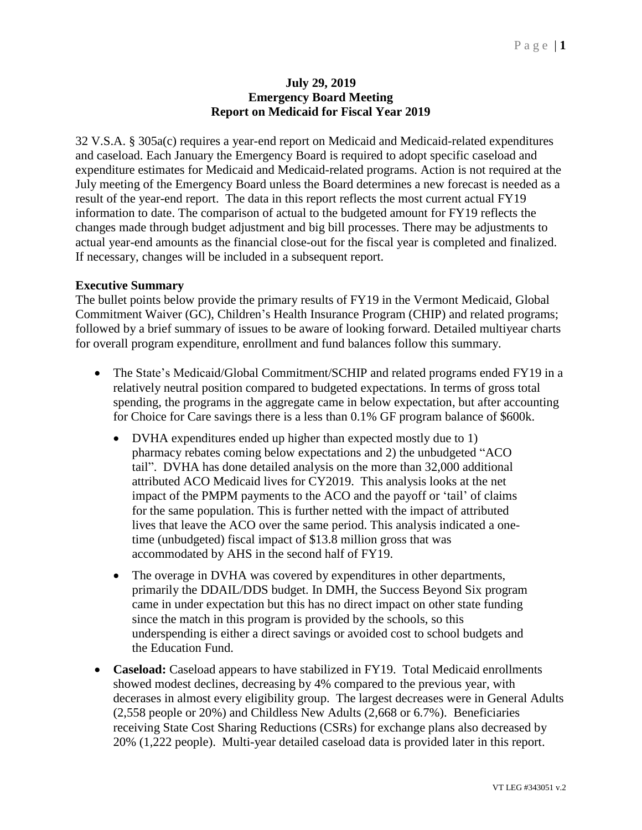## **July 29, 2019 Emergency Board Meeting Report on Medicaid for Fiscal Year 2019**

32 V.S.A. § 305a(c) requires a year-end report on Medicaid and Medicaid-related expenditures and caseload. Each January the Emergency Board is required to adopt specific caseload and expenditure estimates for Medicaid and Medicaid-related programs. Action is not required at the July meeting of the Emergency Board unless the Board determines a new forecast is needed as a result of the year-end report. The data in this report reflects the most current actual FY19 information to date. The comparison of actual to the budgeted amount for FY19 reflects the changes made through budget adjustment and big bill processes. There may be adjustments to actual year-end amounts as the financial close-out for the fiscal year is completed and finalized. If necessary, changes will be included in a subsequent report.

## **Executive Summary**

The bullet points below provide the primary results of FY19 in the Vermont Medicaid, Global Commitment Waiver (GC), Children's Health Insurance Program (CHIP) and related programs; followed by a brief summary of issues to be aware of looking forward. Detailed multiyear charts for overall program expenditure, enrollment and fund balances follow this summary.

- The State's Medicaid/Global Commitment/SCHIP and related programs ended FY19 in a relatively neutral position compared to budgeted expectations. In terms of gross total spending, the programs in the aggregate came in below expectation, but after accounting for Choice for Care savings there is a less than 0.1% GF program balance of \$600k.
	- DVHA expenditures ended up higher than expected mostly due to 1) pharmacy rebates coming below expectations and 2) the unbudgeted "ACO tail". DVHA has done detailed analysis on the more than 32,000 additional attributed ACO Medicaid lives for CY2019. This analysis looks at the net impact of the PMPM payments to the ACO and the payoff or 'tail' of claims for the same population. This is further netted with the impact of attributed lives that leave the ACO over the same period. This analysis indicated a onetime (unbudgeted) fiscal impact of \$13.8 million gross that was accommodated by AHS in the second half of FY19.
	- The overage in DVHA was covered by expenditures in other departments, primarily the DDAIL/DDS budget. In DMH, the Success Beyond Six program came in under expectation but this has no direct impact on other state funding since the match in this program is provided by the schools, so this underspending is either a direct savings or avoided cost to school budgets and the Education Fund.
- **Caseload:** Caseload appears to have stabilized in FY19. Total Medicaid enrollments showed modest declines, decreasing by 4% compared to the previous year, with decerases in almost every eligibility group. The largest decreases were in General Adults (2,558 people or 20%) and Childless New Adults (2,668 or 6.7%). Beneficiaries receiving State Cost Sharing Reductions (CSRs) for exchange plans also decreased by 20% (1,222 people). Multi-year detailed caseload data is provided later in this report.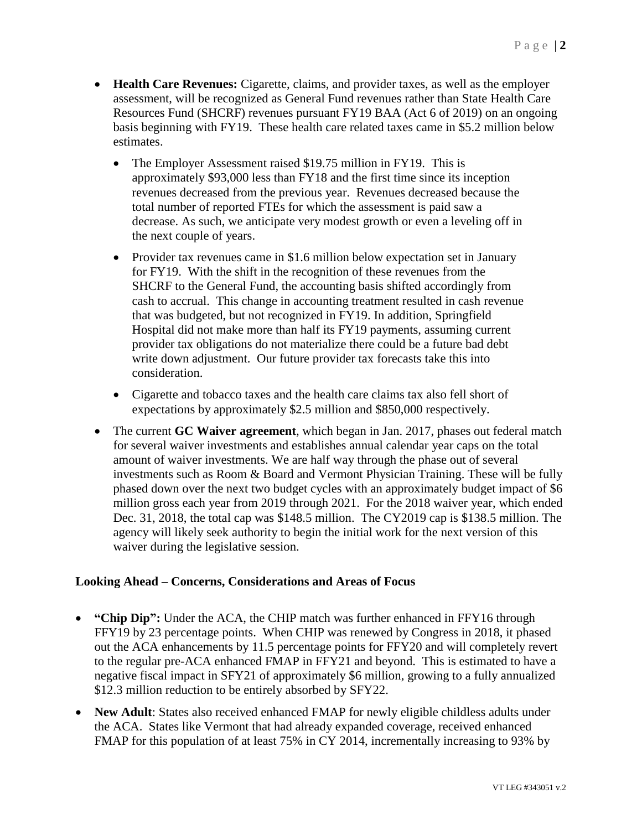- **Health Care Revenues:** Cigarette, claims, and provider taxes, as well as the employer assessment, will be recognized as General Fund revenues rather than State Health Care Resources Fund (SHCRF) revenues pursuant FY19 BAA (Act 6 of 2019) on an ongoing basis beginning with FY19. These health care related taxes came in \$5.2 million below estimates.
	- The Employer Assessment raised \$19.75 million in FY19. This is approximately \$93,000 less than FY18 and the first time since its inception revenues decreased from the previous year. Revenues decreased because the total number of reported FTEs for which the assessment is paid saw a decrease. As such, we anticipate very modest growth or even a leveling off in the next couple of years.
	- Provider tax revenues came in \$1.6 million below expectation set in January for FY19. With the shift in the recognition of these revenues from the SHCRF to the General Fund, the accounting basis shifted accordingly from cash to accrual. This change in accounting treatment resulted in cash revenue that was budgeted, but not recognized in FY19. In addition, Springfield Hospital did not make more than half its FY19 payments, assuming current provider tax obligations do not materialize there could be a future bad debt write down adjustment. Our future provider tax forecasts take this into consideration.
	- Cigarette and tobacco taxes and the health care claims tax also fell short of expectations by approximately \$2.5 million and \$850,000 respectively.
- The current **GC Waiver agreement**, which began in Jan. 2017, phases out federal match for several waiver investments and establishes annual calendar year caps on the total amount of waiver investments. We are half way through the phase out of several investments such as Room & Board and Vermont Physician Training. These will be fully phased down over the next two budget cycles with an approximately budget impact of \$6 million gross each year from 2019 through 2021. For the 2018 waiver year, which ended Dec. 31, 2018, the total cap was \$148.5 million. The CY2019 cap is \$138.5 million. The agency will likely seek authority to begin the initial work for the next version of this waiver during the legislative session.

## **Looking Ahead – Concerns, Considerations and Areas of Focus**

- **"Chip Dip":** Under the ACA, the CHIP match was further enhanced in FFY16 through FFY19 by 23 percentage points. When CHIP was renewed by Congress in 2018, it phased out the ACA enhancements by 11.5 percentage points for FFY20 and will completely revert to the regular pre-ACA enhanced FMAP in FFY21 and beyond. This is estimated to have a negative fiscal impact in SFY21 of approximately \$6 million, growing to a fully annualized \$12.3 million reduction to be entirely absorbed by SFY22.
- **New Adult**: States also received enhanced FMAP for newly eligible childless adults under the ACA. States like Vermont that had already expanded coverage, received enhanced FMAP for this population of at least 75% in CY 2014, incrementally increasing to 93% by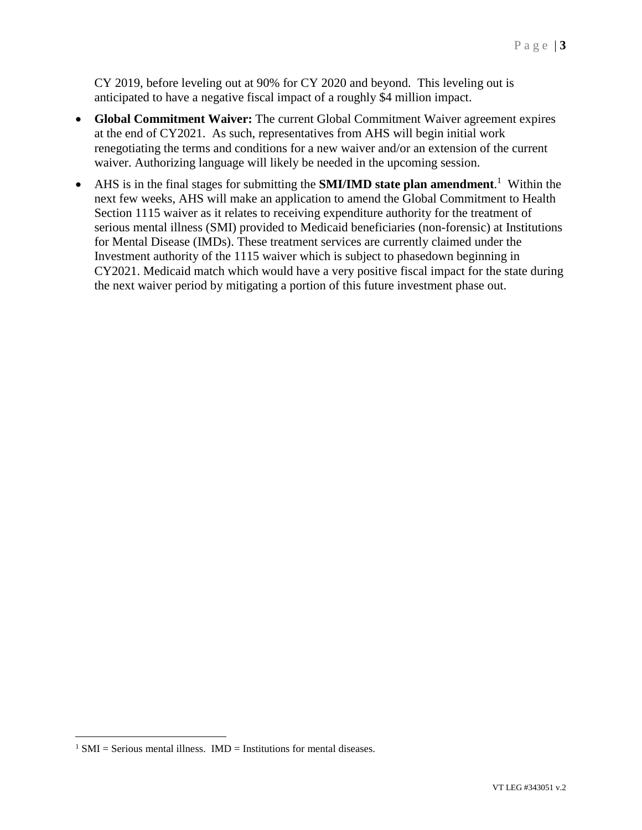CY 2019, before leveling out at 90% for CY 2020 and beyond. This leveling out is anticipated to have a negative fiscal impact of a roughly \$4 million impact.

- **Global Commitment Waiver:** The current Global Commitment Waiver agreement expires at the end of CY2021. As such, representatives from AHS will begin initial work renegotiating the terms and conditions for a new waiver and/or an extension of the current waiver. Authorizing language will likely be needed in the upcoming session.
- AHS is in the final stages for submitting the **SMI/IMD state plan amendment**.<sup>1</sup> Within the next few weeks, AHS will make an application to amend the Global Commitment to Health Section 1115 waiver as it relates to receiving expenditure authority for the treatment of serious mental illness (SMI) provided to Medicaid beneficiaries (non-forensic) at Institutions for Mental Disease (IMDs). These treatment services are currently claimed under the Investment authority of the 1115 waiver which is subject to phasedown beginning in CY2021. Medicaid match which would have a very positive fiscal impact for the state during the next waiver period by mitigating a portion of this future investment phase out.

 $\overline{a}$ 

 $1$  SMI = Serious mental illness. IMD = Institutions for mental diseases.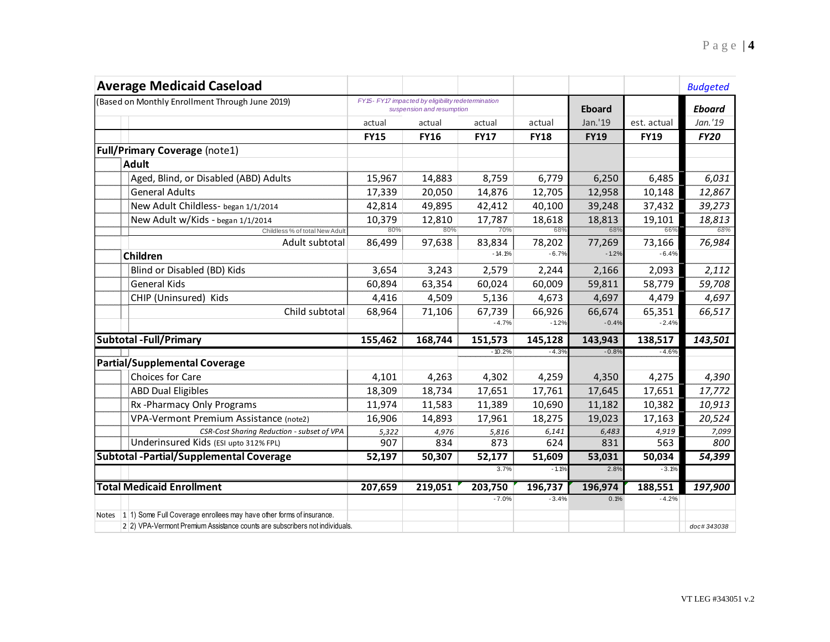| <b>Average Medicaid Caseload</b>                                             |             |                                                                                 |             |             |             |               | <b>Budgeted</b> |  |
|------------------------------------------------------------------------------|-------------|---------------------------------------------------------------------------------|-------------|-------------|-------------|---------------|-----------------|--|
| (Based on Monthly Enrollment Through June 2019)                              |             | FY15- FY17 impacted by eligibility redetermination<br>suspension and resumption |             |             |             | <b>Eboard</b> |                 |  |
|                                                                              | actual      | actual                                                                          | actual      | actual      | Jan.'19     | est. actual   | Jan.'19         |  |
|                                                                              | <b>FY15</b> | <b>FY16</b>                                                                     | <b>FY17</b> | <b>FY18</b> | <b>FY19</b> | <b>FY19</b>   | <b>FY20</b>     |  |
| <b>Full/Primary Coverage (note1)</b>                                         |             |                                                                                 |             |             |             |               |                 |  |
| <b>Adult</b>                                                                 |             |                                                                                 |             |             |             |               |                 |  |
| Aged, Blind, or Disabled (ABD) Adults                                        | 15,967      | 14,883                                                                          | 8,759       | 6,779       | 6,250       | 6,485         | 6,031           |  |
| <b>General Adults</b>                                                        | 17,339      | 20,050                                                                          | 14,876      | 12,705      | 12,958      | 10,148        | 12,867          |  |
| New Adult Childless- began 1/1/2014                                          | 42,814      | 49,895                                                                          | 42,412      | 40,100      | 39,248      | 37,432        | 39,273          |  |
| New Adult w/Kids - began 1/1/2014                                            | 10,379      | 12,810                                                                          | 17,787      | 18,618      | 18,813      | 19,101        | 18,813          |  |
| Childless % of total New Adult                                               | 80%         | 80%                                                                             | 70%         | 68%         | 68%         | 66%           | 68%             |  |
| Adult subtotal                                                               | 86,499      | 97,638                                                                          | 83,834      | 78,202      | 77,269      | 73,166        | 76,984          |  |
| <b>Children</b>                                                              |             |                                                                                 | $-14.1%$    | $-6.7%$     | $-1.2%$     | $-6.4%$       |                 |  |
| Blind or Disabled (BD) Kids                                                  | 3,654       | 3,243                                                                           | 2,579       | 2,244       | 2,166       | 2,093         | 2,112           |  |
| <b>General Kids</b>                                                          | 60,894      | 63,354                                                                          | 60,024      | 60,009      | 59,811      | 58,779        | 59,708          |  |
| CHIP (Uninsured) Kids                                                        | 4,416       | 4,509                                                                           | 5,136       | 4,673       | 4,697       | 4,479         | 4,697           |  |
| Child subtotal                                                               | 68,964      | 71,106                                                                          | 67,739      | 66,926      | 66,674      | 65,351        | 66,517          |  |
|                                                                              |             |                                                                                 | $-4.7%$     | $-1.2%$     | $-0.4%$     | $-2.4%$       |                 |  |
| <b>Subtotal - Full/Primary</b>                                               | 155,462     | 168,744                                                                         | 151,573     | 145,128     | 143,943     | 138,517       | 143,501         |  |
|                                                                              |             |                                                                                 | $-10.2%$    | $-4.3%$     | $-0.8%$     | $-4.6%$       |                 |  |
| <b>Partial/Supplemental Coverage</b>                                         |             |                                                                                 |             |             |             |               |                 |  |
| Choices for Care                                                             | 4,101       | 4,263                                                                           | 4,302       | 4,259       | 4,350       | 4,275         | 4,390           |  |
| <b>ABD Dual Eligibles</b>                                                    | 18,309      | 18,734                                                                          | 17,651      | 17,761      | 17,645      | 17,651        | 17,772          |  |
| Rx-Pharmacy Only Programs                                                    | 11,974      | 11,583                                                                          | 11,389      | 10,690      | 11,182      | 10,382        | 10,913          |  |
| VPA-Vermont Premium Assistance (note2)                                       | 16,906      | 14,893                                                                          | 17,961      | 18,275      | 19,023      | 17,163        | 20,524          |  |
| CSR-Cost Sharing Reduction - subset of VPA                                   | 5,322       | 4,976                                                                           | 5,816       | 6,141       | 6,483       | 4,919         | 7,099           |  |
| Underinsured Kids (ESI upto 312% FPL)                                        | 907         | 834                                                                             | 873         | 624         | 831         | 563           | 800             |  |
| <b>Subtotal - Partial/Supplemental Coverage</b>                              | 52,197      | 50,307                                                                          | 52,177      | 51,609      | 53,031      | 50,034        | 54,399          |  |
|                                                                              |             |                                                                                 | 3.7%        | $-1.1%$     | 2.8%        | $-3.1%$       |                 |  |
| <b>Total Medicaid Enrollment</b>                                             | 207,659     | 219,051                                                                         | 203,750     | 196,737     | 196,974     | 188,551       | 197,900         |  |
|                                                                              |             |                                                                                 | $-7.0%$     | $-3.4%$     | 0.1%        | $-4.2%$       |                 |  |
| Notes 1 1 1) Some Full Coverage enrollees may have other forms of insurance. |             |                                                                                 |             |             |             |               |                 |  |
| 2 2) VPA-Vermont Premium Assistance counts are subscribers not individuals.  |             |                                                                                 |             |             |             |               | doc#343038      |  |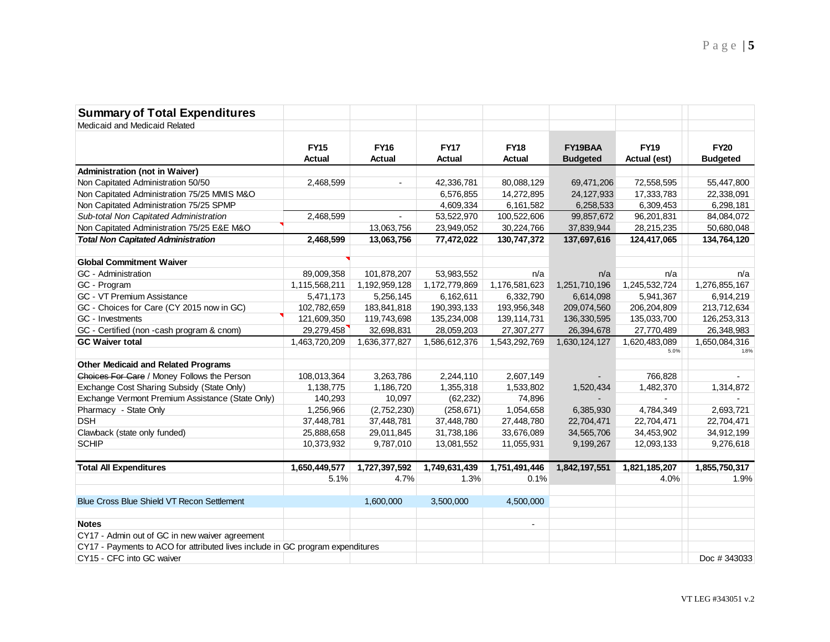| <b>Summary of Total Expenditures</b>                                           |               |                |               |                |                 |               |                 |
|--------------------------------------------------------------------------------|---------------|----------------|---------------|----------------|-----------------|---------------|-----------------|
| Medicaid and Medicaid Related                                                  |               |                |               |                |                 |               |                 |
|                                                                                |               |                |               |                |                 |               |                 |
|                                                                                | <b>FY15</b>   | <b>FY16</b>    | <b>FY17</b>   | <b>FY18</b>    | FY19BAA         | <b>FY19</b>   | <b>FY20</b>     |
|                                                                                | <b>Actual</b> | Actual         | <b>Actual</b> | <b>Actual</b>  | <b>Budgeted</b> | Actual (est)  | <b>Budgeted</b> |
| <b>Administration (not in Waiver)</b>                                          |               |                |               |                |                 |               |                 |
| Non Capitated Administration 50/50                                             | 2,468,599     | $\overline{a}$ | 42,336,781    | 80,088,129     | 69,471,206      | 72,558,595    | 55,447,800      |
| Non Capitated Administration 75/25 MMIS M&O                                    |               |                | 6,576,855     | 14,272,895     | 24,127,933      | 17,333,783    | 22,338,091      |
| Non Capitated Administration 75/25 SPMP                                        |               |                | 4,609,334     | 6,161,582      | 6,258,533       | 6,309,453     | 6,298,181       |
| Sub-total Non Capitated Administration                                         | 2,468,599     | $\overline{a}$ | 53,522,970    | 100,522,606    | 99,857,672      | 96,201,831    | 84,084,072      |
| Non Capitated Administration 75/25 E&E M&O                                     |               | 13,063,756     | 23,949,052    | 30,224,766     | 37,839,944      | 28,215,235    | 50,680,048      |
| <b>Total Non Capitated Administration</b>                                      | 2,468,599     | 13,063,756     | 77,472,022    | 130,747,372    | 137,697,616     | 124,417,065   | 134,764,120     |
|                                                                                |               |                |               |                |                 |               |                 |
| <b>Global Commitment Waiver</b>                                                |               |                |               |                |                 |               |                 |
| GC - Administration                                                            | 89,009,358    | 101,878,207    | 53,983,552    | n/a            | n/a             | n/a           | n/a             |
| GC - Program                                                                   | 1,115,568,211 | 1,192,959,128  | 1,172,779,869 | 1,176,581,623  | 1,251,710,196   | 1,245,532,724 | 1,276,855,167   |
| GC - VT Premium Assistance                                                     | 5,471,173     | 5,256,145      | 6,162,611     | 6,332,790      | 6,614,098       | 5,941,367     | 6,914,219       |
| GC - Choices for Care (CY 2015 now in GC)                                      | 102,782,659   | 183,841,818    | 190,393,133   | 193,956,348    | 209,074,560     | 206,204,809   | 213,712,634     |
| GC - Investments                                                               | 121,609,350   | 119,743,698    | 135,234,008   | 139,114,731    | 136, 330, 595   | 135,033,700   | 126,253,313     |
| GC - Certified (non -cash program & cnom)                                      | 29,279,458    | 32,698,831     | 28,059,203    | 27,307,277     | 26,394,678      | 27,770,489    | 26,348,983      |
| <b>GC Waiver total</b>                                                         | 1,463,720,209 | 1,636,377,827  | 1,586,612,376 | 1,543,292,769  | 1,630,124,127   | 1,620,483,089 | 1,650,084,316   |
|                                                                                |               |                |               |                |                 | 5.0%          | 1.8%            |
| <b>Other Medicaid and Related Programs</b>                                     |               |                |               |                |                 |               |                 |
| Choices For Care / Money Follows the Person                                    | 108,013,364   | 3,263,786      | 2,244,110     | 2,607,149      |                 | 766,828       |                 |
| Exchange Cost Sharing Subsidy (State Only)                                     | 1,138,775     | 1,186,720      | 1,355,318     | 1,533,802      | 1,520,434       | 1,482,370     | 1,314,872       |
| Exchange Vermont Premium Assistance (State Only)                               | 140,293       | 10,097         | (62, 232)     | 74,896         |                 | $\sim$        |                 |
| Pharmacy - State Only                                                          | 1,256,966     | (2,752,230)    | (258, 671)    | 1,054,658      | 6,385,930       | 4,784,349     | 2,693,721       |
| <b>DSH</b>                                                                     | 37,448,781    | 37,448,781     | 37,448,780    | 27,448,780     | 22,704,471      | 22,704,471    | 22,704,471      |
| Clawback (state only funded)                                                   | 25,888,658    | 29,011,845     | 31,738,186    | 33,676,089     | 34,565,706      | 34,453,902    | 34,912,199      |
| <b>SCHIP</b>                                                                   | 10,373,932    | 9,787,010      | 13,081,552    | 11,055,931     | 9,199,267       | 12,093,133    | 9,276,618       |
| <b>Total All Expenditures</b>                                                  | 1,650,449,577 | 1,727,397,592  | 1,749,631,439 | 1,751,491,446  | 1,842,197,551   | 1,821,185,207 | 1,855,750,317   |
|                                                                                | 5.1%          | 4.7%           | 1.3%          | 0.1%           |                 | 4.0%          | 1.9%            |
|                                                                                |               |                |               |                |                 |               |                 |
| Blue Cross Blue Shield VT Recon Settlement                                     |               | 1,600,000      | 3,500,000     | 4,500,000      |                 |               |                 |
| <b>Notes</b>                                                                   |               |                |               | $\blacksquare$ |                 |               |                 |
| CY17 - Admin out of GC in new waiver agreement                                 |               |                |               |                |                 |               |                 |
| CY17 - Payments to ACO for attributed lives include in GC program expenditures |               |                |               |                |                 |               |                 |
| CY15 - CFC into GC waiver                                                      |               |                |               |                |                 |               | Doc #343033     |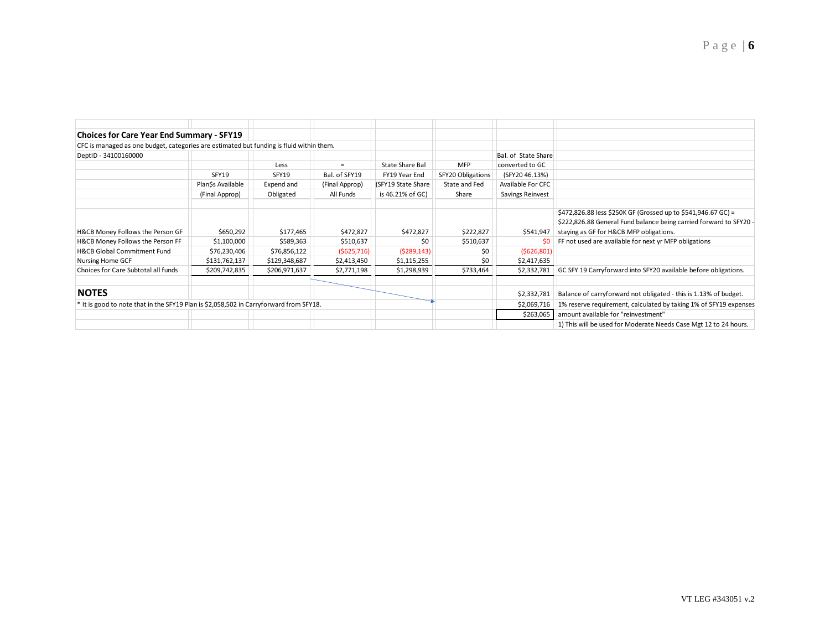| <b>Choices for Care Year End Summary - SFY19</b>                                         |                   |               |                |                    |                   |                                                                   |                                                                                                                                                                                |
|------------------------------------------------------------------------------------------|-------------------|---------------|----------------|--------------------|-------------------|-------------------------------------------------------------------|--------------------------------------------------------------------------------------------------------------------------------------------------------------------------------|
| CFC is managed as one budget, categories are estimated but funding is fluid within them. |                   |               |                |                    |                   |                                                                   |                                                                                                                                                                                |
| DeptID - 34100160000                                                                     |                   |               |                |                    |                   | Bal. of State Share                                               |                                                                                                                                                                                |
|                                                                                          |                   | Less          |                | State Share Bal    | <b>MFP</b>        | converted to GC                                                   |                                                                                                                                                                                |
|                                                                                          | SFY19             | SFY19         | Bal. of SFY19  | FY19 Year End      | SFY20 Obligations | (SFY20 46.13%)                                                    |                                                                                                                                                                                |
|                                                                                          | Plan\$s Available | Expend and    | (Final Approp) | (SFY19 State Share | State and Fed     | Available For CFC                                                 |                                                                                                                                                                                |
|                                                                                          | (Final Approp)    | Obligated     | All Funds      | is 46.21% of GC)   | Share             | Savings Reinvest                                                  |                                                                                                                                                                                |
| H&CB Money Follows the Person GF                                                         | \$650,292         | \$177,465     | \$472,827      | \$472,827          | \$222,827         | \$541,947                                                         | \$472,826.88 less \$250K GF (Grossed up to \$541,946.67 GC) =<br>\$222,826.88 General Fund balance being carried forward to SFY20 -<br>staying as GF for H&CB MFP obligations. |
| H&CB Money Follows the Person FF                                                         | \$1,100,000       | \$589,363     | \$510,637      | \$0                | \$510,637         | \$0                                                               | FF not used are available for next yr MFP obligations                                                                                                                          |
| <b>H&amp;CB Global Commitment Fund</b>                                                   | \$76,230,406      | \$76,856,122  | ( \$625, 716]  | (5289, 143)        | \$0               | (5626,801)                                                        |                                                                                                                                                                                |
| Nursing Home GCF                                                                         | \$131,762,137     | \$129,348,687 | \$2,413,450    | \$1,115,255        | \$0               | \$2,417,635                                                       |                                                                                                                                                                                |
| Choices for Care Subtotal all funds                                                      | \$209,742,835     | \$206,971,637 | \$2,771,198    | \$1,298,939        | \$733,464         | \$2,332,781                                                       | GC SFY 19 Carryforward into SFY20 available before obligations.                                                                                                                |
| <b>NOTES</b>                                                                             |                   |               |                |                    |                   | \$2,332,781                                                       | Balance of carryforward not obligated - this is 1.13% of budget.                                                                                                               |
| * It is good to note that in the SFY19 Plan is \$2,058,502 in Carryforward from SFY18.   |                   |               |                |                    | \$2,069,716       | 1% reserve requirement, calculated by taking 1% of SFY19 expenses |                                                                                                                                                                                |
|                                                                                          |                   |               |                |                    |                   | \$263,065                                                         | amount available for "reinvestment"                                                                                                                                            |
|                                                                                          |                   |               |                |                    |                   |                                                                   | 1) This will be used for Moderate Needs Case Mgt 12 to 24 hours.                                                                                                               |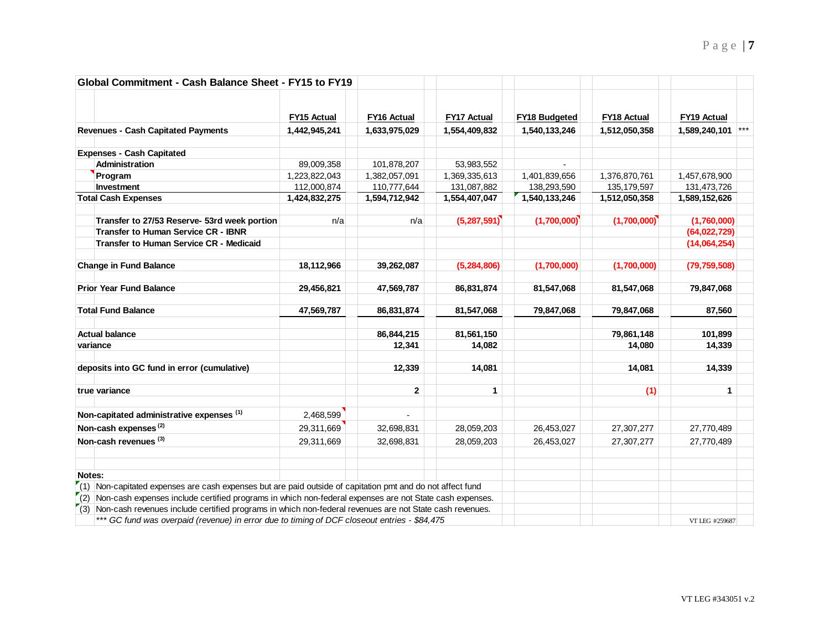| Global Commitment - Cash Balance Sheet - FY15 to FY19                                                                    |                    |                    |                    |                      |                    |                        |
|--------------------------------------------------------------------------------------------------------------------------|--------------------|--------------------|--------------------|----------------------|--------------------|------------------------|
|                                                                                                                          | <b>FY15 Actual</b> | <b>FY16 Actual</b> | <b>FY17 Actual</b> | <b>FY18 Budgeted</b> | <b>FY18 Actual</b> | <b>FY19 Actual</b>     |
| <b>Revenues - Cash Capitated Payments</b>                                                                                | 1,442,945,241      | 1,633,975,029      | 1,554,409,832      | 1,540,133,246        | 1,512,050,358      | $***$<br>1,589,240,101 |
| <b>Expenses - Cash Capitated</b>                                                                                         |                    |                    |                    |                      |                    |                        |
| <b>Administration</b>                                                                                                    | 89,009,358         | 101,878,207        | 53,983,552         |                      |                    |                        |
| Program                                                                                                                  | 1,223,822,043      | 1,382,057,091      | 1,369,335,613      | 1,401,839,656        | 1,376,870,761      | 1,457,678,900          |
| Investment                                                                                                               | 112,000,874        | 110,777,644        | 131,087,882        | 138,293,590          | 135, 179, 597      | 131,473,726            |
| <b>Total Cash Expenses</b>                                                                                               | 1,424,832,275      | 1,594,712,942      | 1,554,407,047      | 1,540,133,246        | 1,512,050,358      | 1,589,152,626          |
| Transfer to 27/53 Reserve- 53rd week portion                                                                             | n/a                | n/a                | (5,287,591)        | (1,700,000)          | (1,700,000)        | (1,760,000)            |
| <b>Transfer to Human Service CR - IBNR</b>                                                                               |                    |                    |                    |                      |                    | (64,022,729)           |
| Transfer to Human Service CR - Medicaid                                                                                  |                    |                    |                    |                      |                    | (14,064,254)           |
| <b>Change in Fund Balance</b>                                                                                            | 18,112,966         | 39,262,087         | (5, 284, 806)      | (1,700,000)          | (1,700,000)        | (79, 759, 508)         |
| <b>Prior Year Fund Balance</b>                                                                                           | 29,456,821         | 47,569,787         | 86,831,874         | 81,547,068           | 81,547,068         | 79,847,068             |
| <b>Total Fund Balance</b>                                                                                                | 47,569,787         | 86,831,874         | 81,547,068         | 79,847,068           | 79,847,068         | 87,560                 |
| <b>Actual balance</b>                                                                                                    |                    | 86,844,215         | 81,561,150         |                      | 79,861,148         | 101,899                |
| variance                                                                                                                 |                    | 12,341             | 14,082             |                      | 14,080             | 14,339                 |
| deposits into GC fund in error (cumulative)                                                                              |                    | 12,339             | 14,081             |                      | 14,081             | 14,339                 |
| true variance                                                                                                            |                    | $\mathbf{2}$       | $\mathbf{1}$       |                      | (1)                | 1                      |
| Non-capitated administrative expenses (1)                                                                                | 2,468,599          |                    |                    |                      |                    |                        |
| Non-cash expenses <sup>(2)</sup>                                                                                         | 29,311,669         | 32,698,831         | 28,059,203         | 26,453,027           | 27,307,277         | 27,770,489             |
| Non-cash revenues (3)                                                                                                    | 29,311,669         | 32,698,831         | 28,059,203         | 26,453,027           | 27,307,277         | 27,770,489             |
|                                                                                                                          |                    |                    |                    |                      |                    |                        |
| Notes:                                                                                                                   |                    |                    |                    |                      |                    |                        |
| $\mathcal{F}(1)$ Non-capitated expenses are cash expenses but are paid outside of capitation pmt and do not affect fund  |                    |                    |                    |                      |                    |                        |
| $\mathcal{T}(2)$ Non-cash expenses include certified programs in which non-federal expenses are not State cash expenses. |                    |                    |                    |                      |                    |                        |
| $(3)$ Non-cash revenues include certified programs in which non-federal revenues are not State cash revenues.            |                    |                    |                    |                      |                    |                        |
| *** GC fund was overpaid (revenue) in error due to timing of DCF closeout entries - \$84,475                             |                    |                    |                    |                      |                    | VT LEG #259687         |